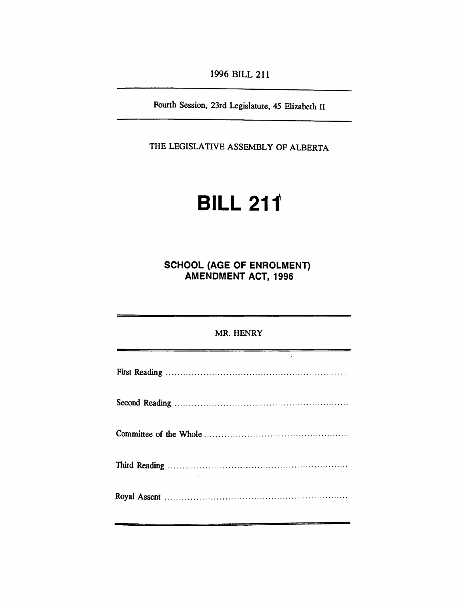*1996 BILL 211*

*Fourth Session, 23rd Legislature, 45 Elizabeth II*

*THE LEGISLATIVE ASSEMBLY OF ALBERTA*

# *BILL 211*

*SCHOOL (AGE OF ENROLMENT) AMENDMENT ACT, 1996*

| <b>MR. HENRY</b> |
|------------------|
|                  |
|                  |
|                  |
|                  |
|                  |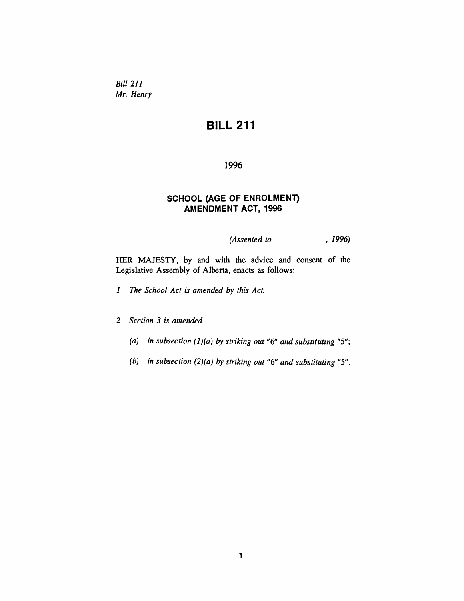*Bill 211 Mr. Henry*

## *BILL 211*

#### *1996*

#### *SCHOOL (AGE OF ENROLMENT) AMENDMENT ACT, 1996*

*(Assented to , 1996)*

*HER MAJESTY, by and with the advice and consent of the Legislative Assembly of Alberta, enacts as follows:*

- *1 The School Act is amended by this Act.*
- *2 Section 3 is amended*
	- *(a) in subsection (1)(a) by striking out "6" and substituting "5";*
	- *(b) in subsection (2)(a) by striking out "6" and substituting "5".*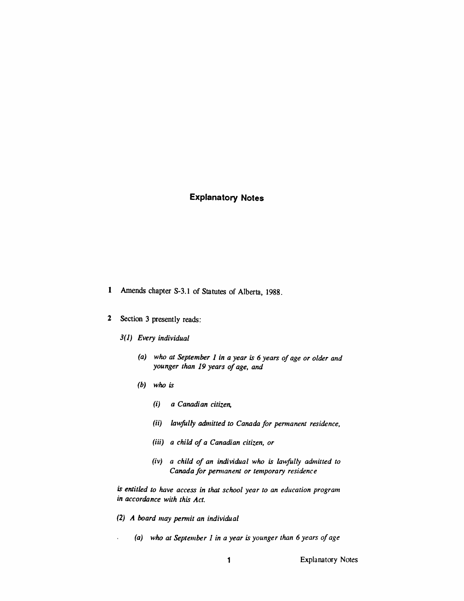### *Explanatory Notes*

- *1 Amends chapter S-3.1 of Statutes of Alberta, 1988.*
- *2 Section 3 presently reads:*
	- *3(1) Every individual*
		- *(a) who at September <sup>1</sup> in a year is 6 years of age or older and younger than 19 years of age, and*
		- *(b) who is*
			- *(i) a Canadian citizen,*
			- *(ii) lawfully admitted to Canada for permanent residence,*
			- *(iii) a child of a Canadian citizen, or*
			- *(iv) a child of an individual who is lawfully admitted to Canada for permanent or temporary residence*

*is entitled to have access in that school year to an education program in accordance with this Act.*

- *(2) A board may permit an individual*
	- *(a) who at September <sup>1</sup> in a year is younger than 6 years ofage*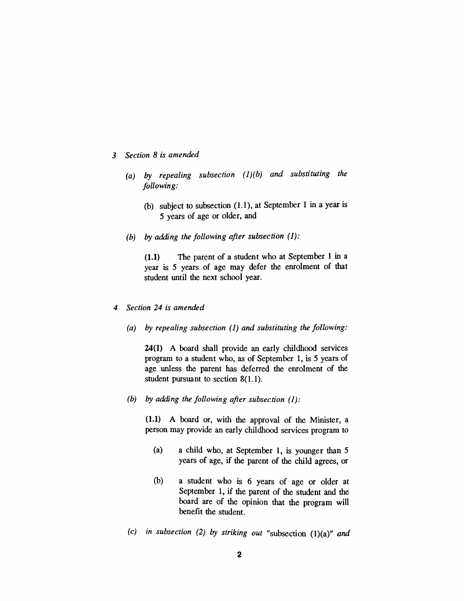- *3 Section 8 is amended*
	- *(a) by repealing subsection (1)(b) and substituting the following:*
		- *(b) subject to subsection (1.1), at September <sup>1</sup> in a year is 5 years of age or older, and*
	- *(b) by adding the following after subsection (1):*

*(1.1) The parent of a student who at September <sup>1</sup> in a year is 5 years of age may defer the enrolment of that student until the next school year.*

#### *4 Section 24 is amended*

*(a) by repealing subsection (1) and substituting the following:*

*24(1) A board shall provide an early childhood services program to a student who, as of September 1, is 5 years of age unless the parent has deferred the enrolment of the student pursuant to section 8(1.1).*

*(b) by adding the following after subsection (1):*

*(1.1) A board or, with the approval of the Minister, a person may provide an early childhood services program to*

- *(a) a child who, at September 1, is younger than 5 years of age, if the parent of the child agrees, or*
- *(b) a student who is 6 years of age or older at September 1, if the parent of the student and the board are of the opinion that the program will benefit the student.*
- *(c) in subsection (2) by striking out "subsection (1)(a)" and*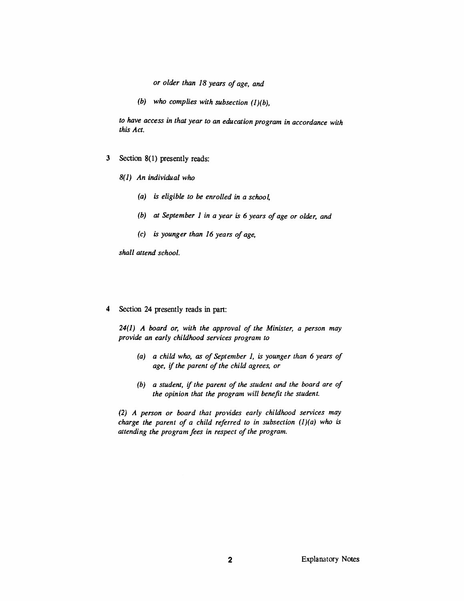*or older than 18 years of age, and*

*(b) who complies with subsection (1)(b),*

*to have access in that year to an education program in accordance with this Act.*

- *3 Section 8(1) presently reads:*
	- *8(1) An individual who*
		- *(a) is eligible to be enrolled in a school,*
		- *(b) at September <sup>1</sup> in a year is 6 years of age or older, and*
		- *(c) is younger than 16 years of age,*

*shall attend school.*

*4 Section 24 presently reads in part:*

*24(1) A board or, with the approval of the Minister, a person may provide an early childhood services program to*

- *(a) a child who, as of September 1, is younger than 6 years of age, ifthe parent of the child agrees, or*
- *(b) a student, if the parent of the student and the board are of the opinion that the program will benefit the student.*

*(2) A person or board that provides early childhood services may charge the parent of a child referred to in subsection (1)(a) who is attending the program fees in respect of the program.*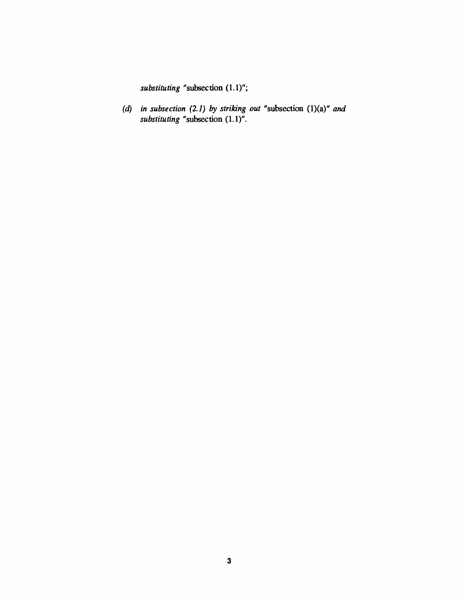*substituting "subsection (1.1)";*

*(d) in subsection (2.1) by striking out "subsection (1)(a)" and substituting "subsection (1.1)".*